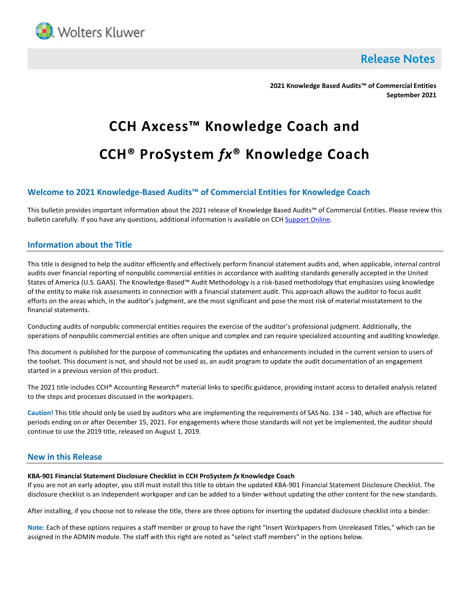

**Release Notes** 

**2021 Knowledge Based Audits™ of Commercial Entities September 2021**

# **CCH Axcess™ Knowledge Coach and CCH® ProSystem** *fx***® Knowledge Coach**

# **Welcome to 2021 Knowledge-Based Audits™ of Commercial Entities for Knowledge Coach**

This bulletin provides important information about the 2021 release of Knowledge Based Audits™ of Commercial Entities. Please review this bulletin carefully. If you have any questions, additional information is available on CC[H Support Online.](http://support.cch.com/productsupport/)

## **Information about the Title**

This title is designed to help the auditor efficiently and effectively perform financial statement audits and, when applicable, internal control audits over financial reporting of nonpublic commercial entities in accordance with auditing standards generally accepted in the United States of America (U.S. GAAS). The Knowledge-Based™ Audit Methodology is a risk-based methodology that emphasizes using knowledge of the entity to make risk assessments in connection with a financial statement audit. This approach allows the auditor to focus audit efforts on the areas which, in the auditor's judgment, are the most significant and pose the most risk of material misstatement to the financial statements.

Conducting audits of nonpublic commercial entities requires the exercise of the auditor's professional judgment. Additionally, the operations of nonpublic commercial entities are often unique and complex and can require specialized accounting and auditing knowledge.

This document is published for the purpose of communicating the updates and enhancements included in the current version to users of the toolset. This document is not, and should not be used as, an audit program to update the audit documentation of an engagement started in a previous version of this product.

The 2021 title includes CCH® Accounting Research® material links to specific guidance, providing instant access to detailed analysis related to the steps and processes discussed in the workpapers.

**Caution!** This title should only be used by auditors who are implementing the requirements of SAS No. 134 – 140, which are effective for periods ending on or after December 15, 2021. For engagements where those standards will not yet be implemented, the auditor should continue to use the 2019 title, released on August 1, 2019.

## **New in this Release**

#### **KBA-901 Financial Statement Disclosure Checklist in CCH ProSystem** *fx* **Knowledge Coach**

If you are not an early adopter, you still must install this title to obtain the updated KBA-901 Financial Statement Disclosure Checklist. The disclosure checklist is an independent workpaper and can be added to a binder without updating the other content for the new standards.

After installing, if you choose not to release the title, there are three options for inserting the updated disclosure checklist into a binder:

**Note:** Each of these options requires a staff member or group to have the right "Insert Workpapers from Unreleased Titles," which can be assigned in the ADMIN module. The staff with this right are noted as "select staff members" in the options below.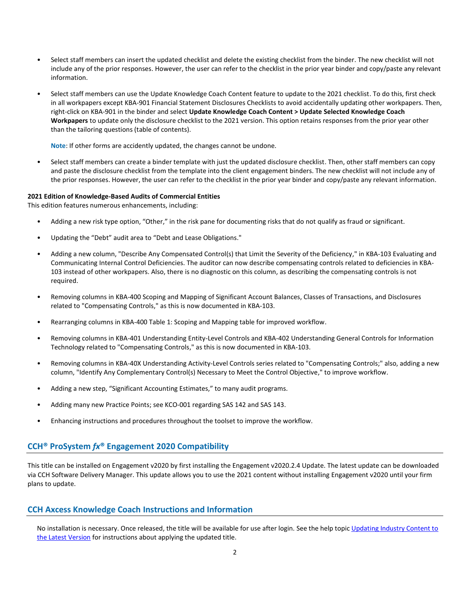- Select staff members can insert the updated checklist and delete the existing checklist from the binder. The new checklist will not include any of the prior responses. However, the user can refer to the checklist in the prior year binder and copy/paste any relevant information.
- Select staff members can use the Update Knowledge Coach Content feature to update to the 2021 checklist. To do this, first check in all workpapers except KBA-901 Financial Statement Disclosures Checklists to avoid accidentally updating other workpapers. Then, right-click on KBA-901 in the binder and select **Update Knowledge Coach Content > Update Selected Knowledge Coach Workpapers** to update only the disclosure checklist to the 2021 version. This option retains responses from the prior year other than the tailoring questions (table of contents).

**Note**: If other forms are accidently updated, the changes cannot be undone.

• Select staff members can create a binder template with just the updated disclosure checklist. Then, other staff members can copy and paste the disclosure checklist from the template into the client engagement binders. The new checklist will not include any of the prior responses. However, the user can refer to the checklist in the prior year binder and copy/paste any relevant information.

#### **2021 Edition of Knowledge-Based Audits of Commercial Entities**

This edition features numerous enhancements, including:

- Adding a new risk type option, "Other," in the risk pane for documenting risks that do not qualify as fraud or significant.
- Updating the "Debt" audit area to "Debt and Lease Obligations."
- Adding a new column, "Describe Any Compensated Control(s) that Limit the Severity of the Deficiency," in KBA-103 Evaluating and Communicating Internal Control Deficiencies. The auditor can now describe compensating controls related to deficiencies in KBA-103 instead of other workpapers. Also, there is no diagnostic on this column, as describing the compensating controls is not required.
- Removing columns in KBA-400 Scoping and Mapping of Significant Account Balances, Classes of Transactions, and Disclosures related to "Compensating Controls," as this is now documented in KBA-103.
- Rearranging columns in KBA-400 Table 1: Scoping and Mapping table for improved workflow.
- Removing columns in KBA-401 Understanding Entity-Level Controls and KBA-402 Understanding General Controls for Information Technology related to "Compensating Controls," as this is now documented in KBA-103.
- Removing columns in KBA-40X Understanding Activity-Level Controls series related to "Compensating Controls;" also, adding a new column, "Identify Any Complementary Control(s) Necessary to Meet the Control Objective," to improve workflow.
- Adding a new step, "Significant Accounting Estimates," to many audit programs.
- Adding many new Practice Points; see KCO-001 regarding SAS 142 and SAS 143.
- Enhancing instructions and procedures throughout the toolset to improve the workflow.

# **CCH® ProSystem** *fx***® Engagement 2020 Compatibility**

This title can be installed on Engagement v2020 by first installing the Engagement v2020.2.4 Update. The latest update can be downloaded via CCH Software Delivery Manager. This update allows you to use the 2021 content without installing Engagement v2020 until your firm plans to update.

## **CCH Axcess Knowledge Coach Instructions and Information**

No installation is necessary. Once released, the title will be available for use after login. See the help topic Updating Industry Content to [the Latest Version](https://knowledgecoach.cchaxcess.com/Knowledge-Coach/Content/Engagements/Eng-Update-content.htm) for instructions about applying the updated title.